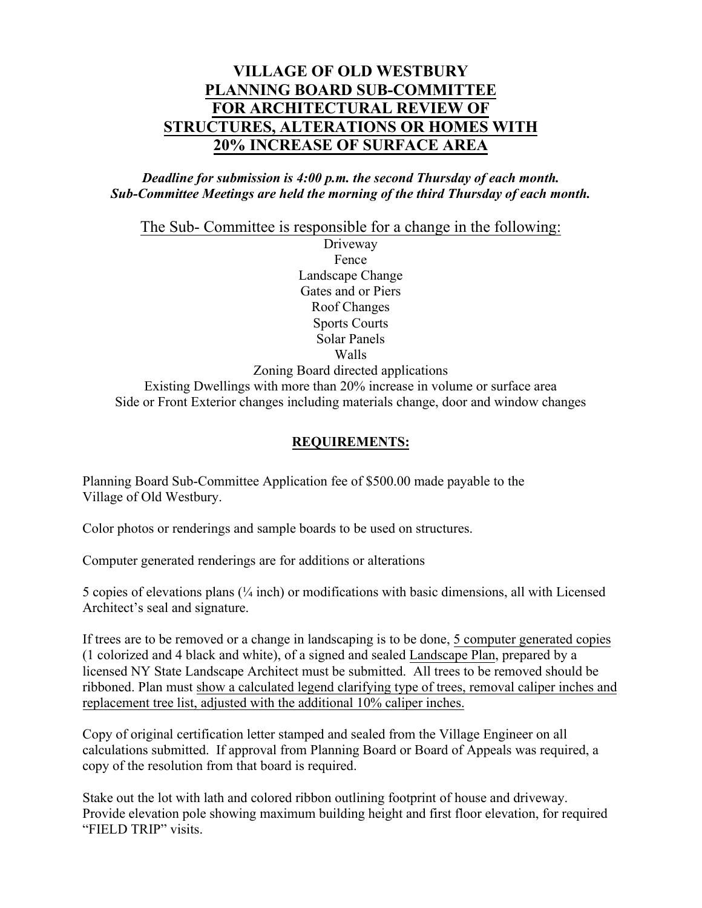# **VILLAGE OF OLD WESTBURY PLANNING BOARD SUB-COMMITTEE FOR ARCHITECTURAL REVIEW OF STRUCTURES, ALTERATIONS OR HOMES WITH 20% INCREASE OF SURFACE AREA**

### *Deadline for submission is 4:00 p.m. the second Thursday of each month. Sub-Committee Meetings are held the morning of the third Thursday of each month.*

The Sub- Committee is responsible for a change in the following:

Driveway Fence Landscape Change Gates and or Piers Roof Changes Sports Courts Solar Panels Walls Zoning Board directed applications Existing Dwellings with more than 20% increase in volume or surface area Side or Front Exterior changes including materials change, door and window changes

## **REQUIREMENTS:**

Planning Board Sub-Committee Application fee of \$500.00 made payable to the Village of Old Westbury.

Color photos or renderings and sample boards to be used on structures.

Computer generated renderings are for additions or alterations

5 copies of elevations plans (¼ inch) or modifications with basic dimensions, all with Licensed Architect's seal and signature.

If trees are to be removed or a change in landscaping is to be done, 5 computer generated copies (1 colorized and 4 black and white), of a signed and sealed Landscape Plan, prepared by a licensed NY State Landscape Architect must be submitted. All trees to be removed should be ribboned. Plan must show a calculated legend clarifying type of trees, removal caliper inches and replacement tree list, adjusted with the additional 10% caliper inches.

Copy of original certification letter stamped and sealed from the Village Engineer on all calculations submitted. If approval from Planning Board or Board of Appeals was required, a copy of the resolution from that board is required.

Stake out the lot with lath and colored ribbon outlining footprint of house and driveway. Provide elevation pole showing maximum building height and first floor elevation, for required "FIELD TRIP" visits.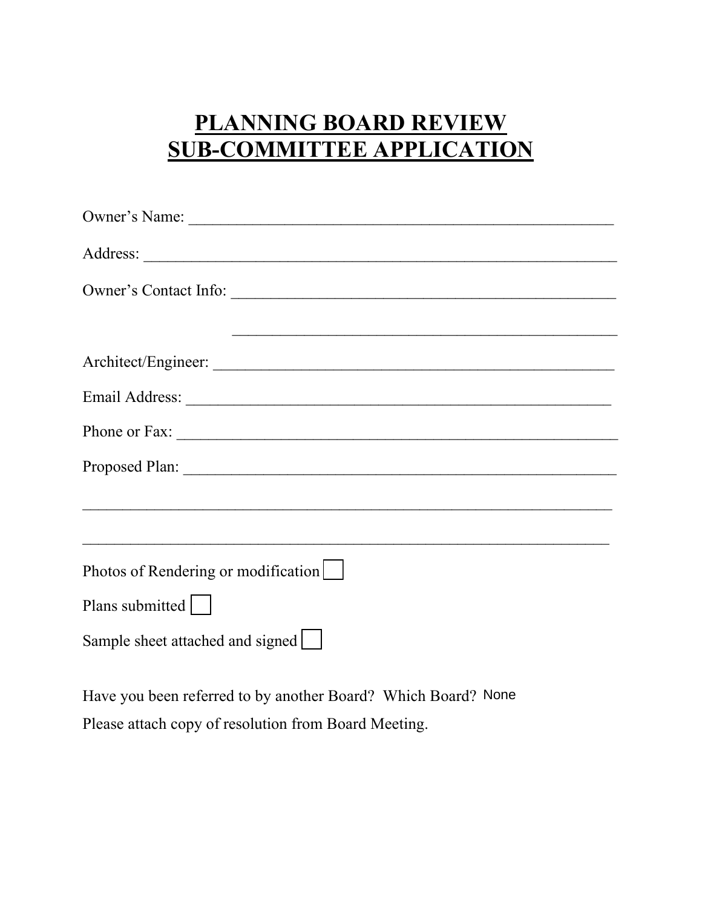# **PLANNING BOARD REVIEW SUB-COMMITTEE APPLICATION**

| Owner's Name:                       |
|-------------------------------------|
|                                     |
| Owner's Contact Info:               |
|                                     |
|                                     |
|                                     |
|                                     |
|                                     |
|                                     |
|                                     |
| Photos of Rendering or modification |
| Plans submitted                     |
| Sample sheet attached and signed    |

Have you been referred to by another Board? Which Board? NonePlease attach copy of resolution from Board Meeting.